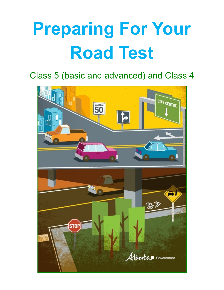# **Preparing For Your Road Test**

Class 5 (basic and advanced) and Class 4

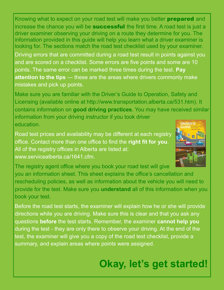Knowing what to expect on your road test will make you better **prepared** and increase the chance you will be **successful** the first time. A road test is just a driver examiner observing your driving on a route they determine for you. The information provided in this guide will help you learn what a driver examiner is looking for. The sections match the road test checklist used by your examiner.

Driving errors that are committed during a road test result in points against you and are scored on a checklist. Some errors are five points and some are 10 points. The same error can be marked three times during the test. **Pay attention to the tips** — these are the areas where drivers commonly make mistakes and pick up points.

Make sure you are familiar with the Driver's Guide to Operation, Safety and Licensing (available online at http://www.transportation.alberta.ca/531.htm). It contains information on **good driving practices**. You may have received similar information from your driving instructor if you took driver education. **DRIVER'S** 

Road test prices and availability may be different at each registry office. Contact more than one office to find the **right fit for you**. All of the registry offices in Alberta are listed at: www.servicealberta.ca/1641.cfm.



The registry agent office where you book your road test will give you an information sheet. This sheet explains the office's cancellation and rescheduling policies, as well as information about the vehicle you will need to provide for the test. Make sure you **understand** all of this information when you book your test.

Before the road test starts, the examiner will explain how he or she will provide directions while you are driving. Make sure this is clear and that you ask any questions **before** the test starts. Remember, the examiner **cannot help you**  during the test - they are only there to observe your driving. At the end of the test, the examiner will give you a copy of the road test checklist, provide a summary, and explain areas where points were assigned.

## **Okay, let's get started!**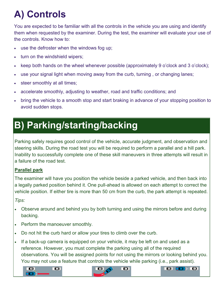# **A) Controls**

You are expected to be familiar with all the controls in the vehicle you are using and identify them when requested by the examiner. During the test, the examiner will evaluate your use of the controls. Know how to:

- use the defroster when the windows fog up;
- turn on the windshield wipers;
- keep both hands on the wheel whenever possible (approximately 9 o'clock and 3 o'clock);
- use your signal light when moving away from the curb, turning , or changing lanes;
- steer smoothly at all times;
- accelerate smoothly, adjusting to weather, road and traffic conditions; and
- bring the vehicle to a smooth stop and start braking in advance of your stopping position to avoid sudden stops.

### **B) Parking/starting/backing**

Parking safely requires good control of the vehicle, accurate judgment, and observation and steering skills. During the road test you will be required to perform a parallel and a hill park. Inability to successfully complete one of these skill maneuvers in three attempts will result in a failure of the road test.

### **Parallel park**

The examiner will have you position the vehicle beside a parked vehicle, and then back into a legally parked position behind it. One pull-ahead is allowed on each attempt to correct the vehicle position. If either tire is more than 50 cm from the curb, the park attempt is repeated.

*Tips:*

- Observe around and behind you by both turning and using the mirrors before and during backing.
- Perform the manoeuver smoothly.
- Do not hit the curb hard or allow your tires to climb over the curb.
- If a back-up camera is equipped on your vehicle, it may be left on and used as a reference. However, you must complete the parking using all of the required observations. You will be assigned points for not using the mirrors or looking behind you. You may not use a feature that controls the vehicle while parking (i.e., park assist).

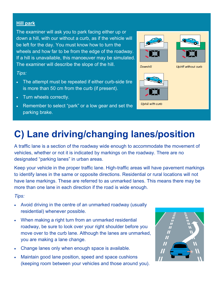### **Hill park**

The examiner will ask you to park facing either up or down a hill, with our without a curb, as if the vehicle will be left for the day. You must know how to turn the wheels and how far to be from the edge of the roadway. If a hill is unavailable, this manoeuver may be simulated. The examiner will describe the slope of the hill.

### *Tips:*

- The attempt must be repeated if either curb-side tire is more than 50 cm from the curb (if present).
- Turn wheels correctly.
- Remember to select "park" or a low gear and set the parking brake.

### **C) Lane driving/changing lanes/position**

A traffic lane is a section of the roadway wide enough to accommodate the movement of vehicles, whether or not it is indicated by markings on the roadway. There are no designated "parking lanes" in urban areas.

Keep your vehicle in the proper traffic lane. High-traffic areas will have pavement markings to identify lanes in the same or opposite directions. Residential or rural locations will not have lane markings. These are referred to as unmarked lanes. This means there may be more than one lane in each direction if the road is wide enough.

*Tips:*

- Avoid driving in the centre of an unmarked roadway (usually residential) whenever possible.
- When making a right turn from an unmarked residential roadway, be sure to look over your right shoulder before you move over to the curb lane. Although the lanes are unmarked, you are making a lane change.
- Change lanes only when enough space is available.
- Maintain good lane position, speed and space cushions (keeping room between your vehicles and those around you).







**Uphill without curb**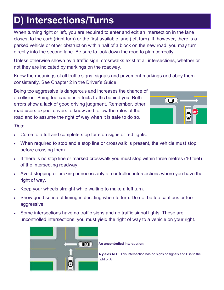### **D) Intersections/Turns**

When turning right or left, you are required to enter and exit an intersection in the lane closest to the curb (right turn) or the first available lane (left turn). If, however, there is a parked vehicle or other obstruction within half of a block on the new road, you may turn directly into the second lane. Be sure to look down the road to plan correctly.

Unless otherwise shown by a traffic sign, crosswalks exist at all intersections, whether or not they are indicated by markings on the roadway.

Know the meanings of all traffic signs, signals and pavement markings and obey them consistently. See Chapter 2 in the Driver's Guide.

Being too aggressive is dangerous and increases the chance of a collision. Being too cautious affects traffic behind you. Both errors show a lack of good driving judgment. Remember, other road users expect drivers to know and follow the rules of the road and to assume the right of way when it is safe to do so.



*Tips:*

- Come to a full and complete stop for stop signs or red lights.
- When required to stop and a stop line or crosswalk is present, the vehicle must stop before crossing them.
- If there is no stop line or marked crosswalk you must stop within three metres (10 feet) of the intersecting roadway.
- Avoid stopping or braking unnecessarily at controlled intersections where you have the right of way.
- Keep your wheels straight while waiting to make a left turn.
- Show good sense of timing in deciding when to turn. Do not be too cautious or too aggressive.
- Some intersections have no traffic signs and no traffic signal lights. These are uncontrolled intersections: you must yield the right of way to a vehicle on your right.



**An uncontrolled intersection:**

**A yields to B:** This intersection has no signs or signals and B is to the right of A.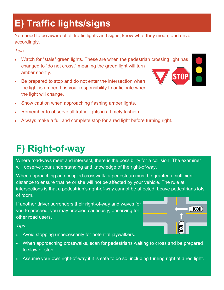# **E) Traffic lights/signs**

You need to be aware of all traffic lights and signs, know what they mean, and drive accordingly.

### *Tips:*

- Watch for "stale" green lights. These are when the pedestrian crossing light has changed to "do not cross," meaning the green light will turn amber shortly.
- Be prepared to stop and do not enter the intersection when the light is amber. It is your responsibility to anticipate when the light will change.



- Show caution when approaching flashing amber lights.
- Remember to observe all traffic lights in a timely fashion.
- Always make a full and complete stop for a red light before turning right.

### **F) Right-of-way**

Where roadways meet and intersect, there is the possibility for a collision. The examiner will observe your understanding and knowledge of the right-of-way.

When approaching an occupied crosswalk, a pedestrian must be granted a sufficient distance to ensure that he or she will not be affected by your vehicle. The rule at intersections is that a pedestrian's right-of-way cannot be affected. Leave pedestrians lots of room.

If another driver surrenders their right-of-way and waves for you to proceed, you may proceed cautiously, observing for other road users.



### *Tips:*

- Avoid stopping unnecessarily for potential jaywalkers.
- When approaching crosswalks, scan for pedestrians waiting to cross and be prepared to slow or stop.
- Assume your own right-of-way if it is safe to do so, including turning right at a red light.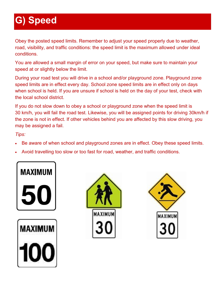# **G) Speed**

Obey the posted speed limits. Remember to adjust your speed properly due to weather, road, visibility, and traffic conditions: the speed limit is the maximum allowed under ideal conditions.

You are allowed a small margin of error on your speed, but make sure to maintain your speed at or slightly below the limit.

During your road test you will drive in a school and/or playground zone. Playground zone speed limits are in effect every day. School zone speed limits are in effect only on days when school is held. If you are unsure if school is held on the day of your test, check with the local school district.

If you do not slow down to obey a school or playground zone when the speed limit is 30 km/h, you will fail the road test. Likewise, you will be assigned points for driving 30km/h if the zone is not in effect. If other vehicles behind you are affected by this slow driving, you may be assigned a fail.

*Tips:*

- Be aware of when school and playground zones are in effect. Obey these speed limits.
- Avoid travelling too slow or too fast for road, weather, and traffic conditions.